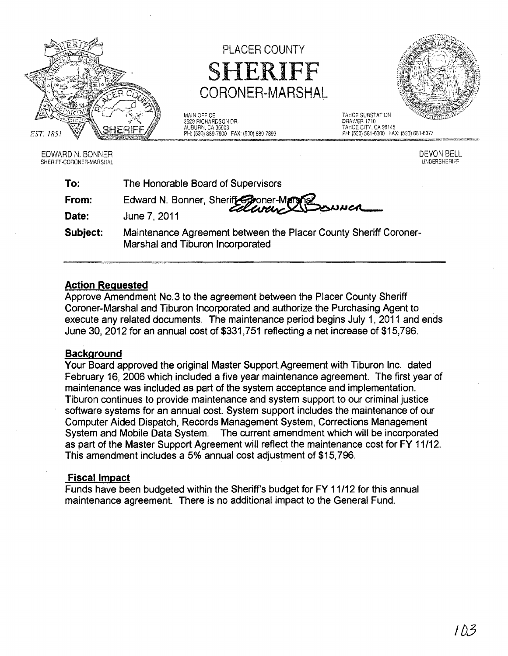

PLACER COUNTY SHERIFF CORONER=MARSHAL

MAIN OFFICE<br>
1929 RICHARDSON DR.<br>
2929 RICHARDSON DR. 2929 RICHARDSON DR.<br>AUBURN, CA 95603

AUBURN, CA 95603<br>
PH: (530) 889-7800 FAX: (530) 889-7899 <br>
PH: (530) 581-6300 FAX: (530) 681-6377

EDWARD N. BONNER SHERIFF-CORONER-MARSHAL DEVON BELL UNDERSHERIFF

| To:      | The Honorable Board of Supervisors                                                                   |
|----------|------------------------------------------------------------------------------------------------------|
| From:    | Edward N. Bonner, Sheriff Conner-Marsher<br>Collector Collection                                     |
| Date:    | June 7, 2011                                                                                         |
| Subject: | Maintenance Agreement between the Placer County Sheriff Coroner-<br>Marshal and Tiburon Incorporated |

## Action Requested

Approve Amendment No.3 to the agreement between the Placer County Sheriff Coroner-Marshal and Tiburon Incorporated and authorize the Purchasing Agent to execute any related documents. The maintenance period begins July 1, 2011 and ends June 30,2012 for an annual cost of \$331 ,751 reflecting a net increase of \$15,796.

## **Background**

Your Board approved the original Master Support Agreement with Tiburon Inc. dated February 16,2006 which included a five year maintenance agreement. The first year of maintenance was included as part of the system acceptance and implementation. Tiburon continues to provide maintenance and system support to our criminal justice software systems for an annual cost. System support includes the maintenance of our Computer Aided Dispatch, Records Management System, Corrections Management System and Mobile Data System. The current amendment which will be incorporated as part of the Master Support Agreement will reflect the maintenance cost for FY 11/12. This amendment includes a 5% annual cost adjustment of \$15,796.

# Fiscal Impact

Funds have been budgeted within the Sheriff's budget for FY 11/12 for this annual maintenance agreement. There is no additional impact to the General Fund.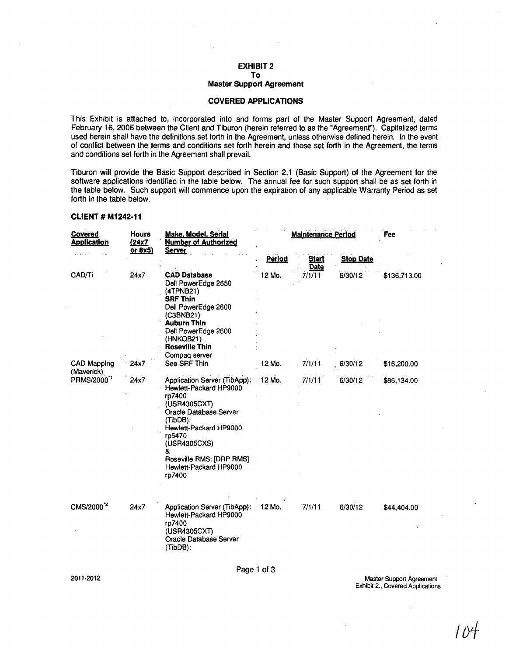#### EXHIBIT 2 **To**

#### **Master Support Agreement**

## **COVERED APPLICATIONS**

This Exhibit is attached to, incorporated into and forms part of the Master Support Agreement, dated February 16, 2006 between the Client and Tiburon (herein referred to as the "Agreement"). Capitalized terms used herein shall have the definitions set forth in the Agreement, unless otherwise defined herein. In the event of conflict between the terms and conditions set forth herein and those set forth in the Agreement, the terms and conditions set forth in the Agreement shall prevail.

Tiburon will provide the Basic Support described in Section 2.1 (Basic Support) of the Agreement for the software applications identified in the table below. The annual fee for such support shall be as set forth in the table below. Such support will commence upon the expiration of any applicable Warranty Period as set forth in the table below.

#### **CLIENT # M1242-11**

| <b>Covered</b><br><b>Application</b> | <b>Hours</b><br><u>(24x7</u><br><u>or 8x5)</u> | Make, Model, Serlal<br><b>Number of Authorized</b><br><u>Server</u>                                                                                                                                                                                    | <b>Maintenance Period</b> | Fee                  |                  |              |
|--------------------------------------|------------------------------------------------|--------------------------------------------------------------------------------------------------------------------------------------------------------------------------------------------------------------------------------------------------------|---------------------------|----------------------|------------------|--------------|
|                                      |                                                |                                                                                                                                                                                                                                                        | Period                    | <b>Start</b><br>Date | <b>Stop Date</b> |              |
| CAD/Ti                               | 24x7                                           | <b>CAD Database</b><br>Dell PowerEdge 2650<br>(4TPNB21)<br><b>SRF Thin</b><br>Dell PowerEdge 2600<br>(C3BNB21)<br><b>Auburn Thin</b><br>Dell PowerEdge 2600<br>(HNKQB21).<br><b>Roseville Thin</b><br>Compag server                                    | 12 Mo.                    | 7/1/11               | 6/30/12          | \$136,713.00 |
| CAD Mapping<br>(Maverick)            | 24x7                                           | See SRF Thin                                                                                                                                                                                                                                           | 12 Mo.                    | $-7/1/11$            | 6/30/12          | \$16,200.00  |
| PRMS/2000 <sup>"1</sup>              | 24x7                                           | Application Server (TibApp): 12 Mo.<br>Hewlett-Packard HP9000<br>rp7400<br>(USR4305CXT)<br>Oracle Database Server<br>(TibDB):<br>Hewlett-Packard HP9000<br>rp5470<br>(USR4305CXS)<br>&<br>Roseville RMS: [DRP RMS]<br>Hewlett-Packard HP9000<br>rp7400 |                           | 7/1/11               | 6/30/12          | \$86,134.00  |
| CMS/2000 <sup>"2</sup>               | 24x7                                           | Application Server (TibApp):<br>Hewlett-Packard HP9000<br>rp7400<br>(USR4305CXT)<br>Oracle Database Server<br>(TibDB):                                                                                                                                 | 12 Mo.                    | 7/1/11               | 6/30/12          | \$44,404.00  |

Page 1 of 3

Master Support Agreement Exhibit 2., Covered Applications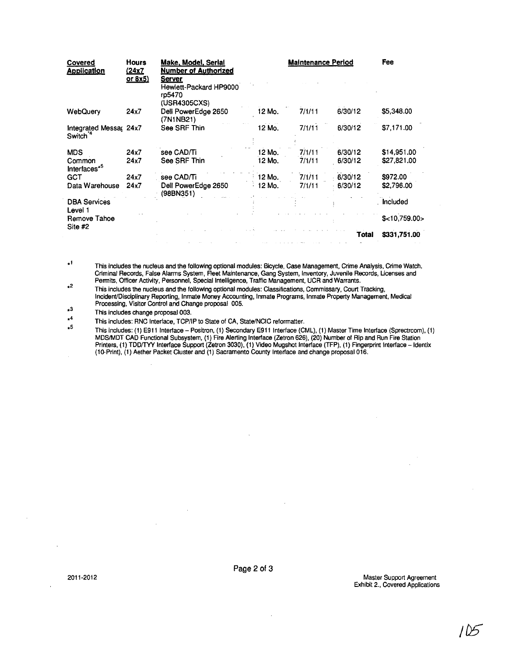| Covered<br><b>Application</b>                  | Hours<br><u>(24x7</u> | Make, Model, Serial<br>Number of Authorized                       |        | <b>Maintenance Period</b> |         | Fee           |
|------------------------------------------------|-----------------------|-------------------------------------------------------------------|--------|---------------------------|---------|---------------|
|                                                | <u>or 8x5)</u>        | <b>Server</b><br>Hewlett-Packard HP9000<br>rp5470<br>(USR4305CXS) |        |                           |         |               |
| <b>WebQuery</b>                                | 24x7                  | Dell PowerEdge 2650<br>(7N1NB21)                                  | 12 Mo. | 7/1/11                    | 6/30/12 | \$5,348.00    |
| Integrated Messa, 24x7<br>Switch <sup>14</sup> |                       | See SRF Thin                                                      | 12 Mo. | 7/1/11                    | 6/30/12 | \$7,171.00    |
| <b>MDS</b>                                     | 24x7                  | see CAD/Ti                                                        | 12 Mo. | 7/1/11                    | 6/30/12 | \$14,951.00   |
| Common<br>Interfaces <sup>*5</sup>             | 24x7                  | See SRF Thin                                                      | 12 Mo. | 7/1/11                    | 6/30/12 | \$27,821.00   |
| <b>GCT</b>                                     | 24x7                  | see CAD/Ti                                                        | 12 Mo. | 7/1/11                    | 6/30/12 | \$972.00      |
| Data Warehouse                                 | 24x7                  | Dell PowerEdge 2650<br>(98BN351)                                  | 12 Mo. | 7/1/11                    | 6/30/12 | \$2,796.00    |
| <b>DBA Services</b><br>Level 1                 |                       |                                                                   |        |                           |         | Included      |
| Remove Tahoe<br>Site #2                        |                       |                                                                   |        |                           |         | \$<10.759.00> |
|                                                |                       |                                                                   |        |                           | Total   | \$331,751.00  |

.1  $\star 2$ This includes the nucleus and the following optional modules: Bicycle, Case Management, Crime Analysis, Crime Watch, Criminal Records, False Alarms System, Reet Maintenance, Gang System, Inventory, Juvenile Records, Ucenses and Permits, Officer Activity, Personnel, Special Intelligence, Traffic Management, UCR and Warrants .

This includes the nucleus and the following optional modules: Classifications, Commissary, Court Tracking, Incident/Disciplinary Reporting, Inmate Money Accounting, Inmate Programs, Inmate Property Management, Medical Processing, Visitor Control and Change proposal 005.

• 3 This includes change proposal 003.

• 4 This includes: RNC Interface, TCP/IP to State of CA, State/NCIC reformatter.

 $\overline{\bullet}$ This includes: (1) E911 Interface - Positron, (1) Secondary E911 Interface (CML), (1) Master Time Interface (Sprectrcom), (1) MDS/MDT CAD Functional Subsystem, (1) Fire Alerting Interface (Zatron 626), (20) Number of Rip and Run Fire Station Printers, (1) TDDITYY Interface Support (Zetron 3030), (1) Video Mugshot Interface (TFP), (1) Fingerprint Interface -Identix (1O-Print), (1) Aether Packet Cluster and (1) Sacramento County Interface and change proposal 016.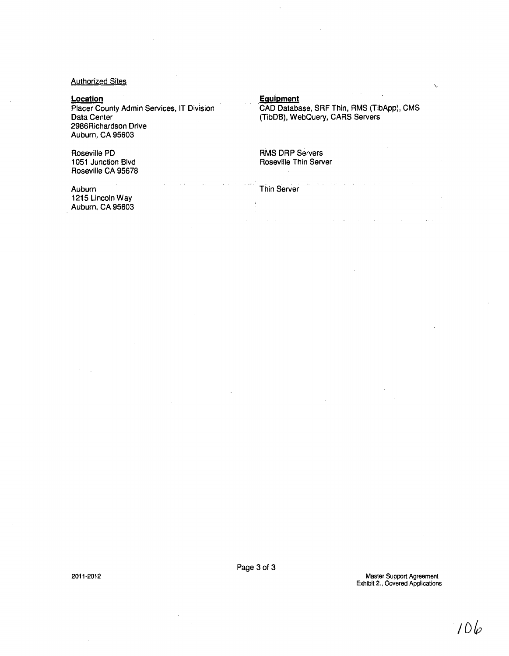Authorized Sites

## **Location**

Placer County Admin Services, IT Division Data Center 2986Richardson Drive Auburn, CA 95603

Roseville PO 1051 Junction Blvd Roseville CA 95678

## **Equipment**

**Thin Server** 

CAD Database, SRF Thin, RMS (TibApp), CMS (TibDB), WebQuery, CARS Servers

RMS DRP Servers Roseville Thin Server

Auburn 1215 Lincoln Way Auburn, CA 95603

2011-2012

Master Support Agreement Exhibit 2., Covered Applications